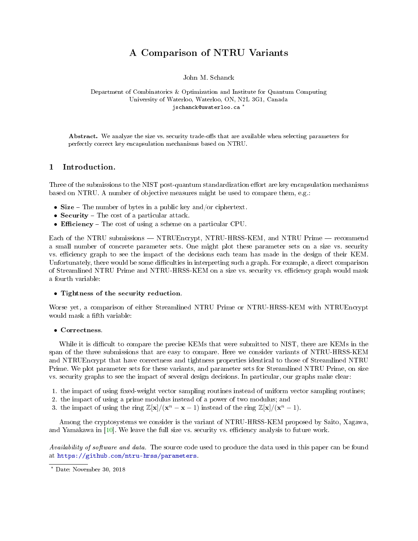# A Comparison of NTRU Variants

John M. Schanck

<span id="page-0-0"></span>Department of Combinatorics & Optimization and Institute for Quantum Computing University of Waterloo, Waterloo, ON, N2L 3G1, Canada jschanck@uwaterloo.ca \*

Abstract. We analyze the size vs. security trade-offs that are available when selecting parameters for perfectly correct key encapsulation mechanisms based on NTRU.

# 1 Introduction.

Three of the submissions to the NIST post-quantum standardization effort are key encapsulation mechanisms based on NTRU. A number of objective measures might be used to compare them, e.g.:

- Size  $-$  The number of bytes in a public key and/or ciphertext.
- Security  $-$  The cost of a particular attack.
- Efficiency  $-$  The cost of using a scheme on a particular CPU.

Each of the NTRU submissions — NTRUEncrypt, NTRU-HRSS-KEM, and NTRU Prime — recommend a small number of concrete parameter sets. One might plot these parameter sets on a size vs. security vs. efficiency graph to see the impact of the decisions each team has made in the design of their KEM. Unfortunately, there would be some difficulties in interpreting such a graph. For example, a direct comparison of Streamlined NTRU Prime and NTRU-HRSS-KEM on a size vs. security vs. efficiency graph would mask a fourth variable:

## • Tightness of the security reduction.

Worse yet, a comparison of either Streamlined NTRU Prime or NTRU-HRSS-KEM with NTRUEncrypt would mask a fifth variable:

# • Correctness.

While it is difficult to compare the precise KEMs that were submitted to NIST, there are KEMs in the span of the three submissions that are easy to compare. Here we consider variants of NTRU-HRSS-KEM and NTRUEncrypt that have correctness and tightness properties identical to those of Streamlined NTRU Prime. We plot parameter sets for these variants, and parameter sets for Streamlined NTRU Prime, on size vs. security graphs to see the impact of several design decisions. In particular, our graphs make clear:

- 1. the impact of using fixed-weight vector sampling routines instead of uniform vector sampling routines;
- 2. the impact of using a prime modulus instead of a power of two modulus; and
- 3. the impact of using the ring  $\mathbb{Z}[\mathbf{x}]/(\mathbf{x}^n \mathbf{x} 1)$  instead of the ring  $\mathbb{Z}[\mathbf{x}]/(\mathbf{x}^n 1)$ .

Among the cryptosystems we consider is the variant of NTRU-HRSS-KEM proposed by Saito, Xagawa, and Yamakawa in [\[10\]](#page-10-0). We leave the full size vs. security vs. efficiency analysis to future work.

Availability of software and data. The source code used to produce the data used in this paper can be found at [https://github.com/ntru-hrss/parameters.](https://github.com/ntru-hrss/parameters)

<sup>?</sup> Date: November 30, 2018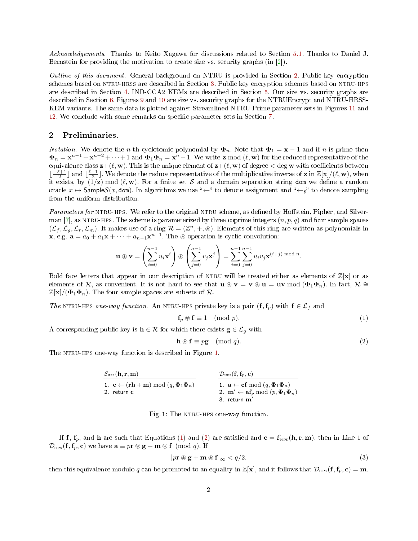<span id="page-1-5"></span>Acknowledgements. Thanks to Keito Xagawa for discussions related to Section [5.1.](#page-7-0) Thanks to Daniel J. Bernstein for providing the motivation to create size vs. security graphs (in [\[2\]](#page-10-1)).

Outline of this document. General background on NTRU is provided in Section [2.](#page-1-0) Public key encryption schemes based on NTRU-HRSS are described in Section [3.](#page-3-0) Public key encryption schemes based on NTRU-HPS are described in Section [4.](#page-5-0) IND-CCA2 KEMs are described in Section [5.](#page-6-0) Our size vs. security graphs are described in Section [6.](#page-8-0) Figures [9](#page-11-0) and [10](#page-12-0) are size vs. security graphs for the NTRUEncrypt and NTRU-HRSS-KEM variants. The same data is plotted against Streamlined NTRU Prime parameter sets in Figures [11](#page-13-0) and [12.](#page-14-0) We conclude with some remarks on specific parameter sets in Section [7.](#page-9-0)

# <span id="page-1-0"></span>2 Preliminaries.

*Notation.* We denote the *n*-th cyclotomic polynomial by  $\Phi_n$ . Note that  $\Phi_1 = \mathbf{x} - 1$  and if *n* is prime then  $\pmb{\Phi}_n = \mathbf{x}^{n-1} + \mathbf{x}^{n-2} + \cdots + 1$  and  $\pmb{\Phi}_1 \pmb{\Phi}_n = \mathbf{x}^n - 1$ . We write  $\pmb{\mathsf{z}}$  mod  $(\ell, \mathbf{w})$  for the reduced representative of the equivalence class  $z+(\ell, w)$ . This is the unique element of  $z+(\ell, w)$  of degree  $\langle$  deg w with coefficients between  $\lfloor \frac{-\ell+1}{2} \rfloor$  and  $\lfloor \frac{\ell-1}{2} \rfloor$ . We denote the reduce representative of the multiplicative inverse of **z** in  $\mathbb{Z}[\mathbf{x}]/(\ell, \mathbf{w})$ , when it exists, by  $(\overline{1}/z) \mod (l, w)$ . For a finite set S and a domain separation string dom we define a random oracle  $x \mapsto$  SampleS(x, dom). In algorithms we use " $\leftarrow$ " to denote assignment and " $\leftarrow_s$ " to denote sampling from the uniform distribution.

Parameters for NTRU-HPS. We refer to the original NTRU scheme, as defined by Hoffstein, Pipher, and Silver-man [\[7\]](#page-10-2), as NTRU-HPS. The scheme is parameterized by three coprime integers  $(n, p, q)$  and four sample spaces  $(\mathcal{L}_f, \mathcal{L}_g, \mathcal{L}_r, \mathcal{L}_m)$ . It makes use of a ring  $\mathcal{R} = (\mathbb{Z}^n, +, \circledast)$ . Elements of this ring are written as polynomials in **x**, e.g.  $\mathbf{a} = a_0 + a_1 \mathbf{x} + \cdots + a_{n-1} \mathbf{x}^{n-1}$ . The  $\circledast$  operation is cyclic convolution:

$$
\mathbf{u} \circledast \mathbf{v} = \left(\sum_{i=0}^{n-1} u_i \mathbf{x}^i\right) \circledast \left(\sum_{j=0}^{n-1} v_j \mathbf{x}^j\right) = \sum_{i=0}^{n-1} \sum_{j=0}^{n-1} u_i v_j \mathbf{x}^{(i+j) \bmod n}.
$$

Bold face letters that appear in our description of NTRU will be treated either as elements of  $\mathbb{Z}[\mathbf{x}]$  or as elements of R, as convenient. It is not hard to see that  $\mathbf{u} \circledast \mathbf{v} = \mathbf{v} \circledast \mathbf{u} = \mathbf{u} \mathbf{v} \mod (\Phi_1 \Phi_n)$ . In fact,  $\mathcal{R} \cong$  $\mathbb{Z}[\mathbf{x}]/(\mathbf{\Phi}_1 \mathbf{\Phi}_n)$ . The four sample spaces are subsets of R.

The NTRU-HPS one-way function. An NTRU-HPS private key is a pair  $(f, f_p)$  with  $f \in \mathcal{L}_f$  and

<span id="page-1-2"></span>
$$
\mathbf{f}_p \circledast \mathbf{f} \equiv 1 \pmod{p}.\tag{1}
$$

A corresponding public key is  $h \in \mathcal{R}$  for which there exists  $g \in \mathcal{L}_q$  with

<span id="page-1-3"></span>
$$
\mathbf{h} \circledast \mathbf{f} \equiv p\mathbf{g} \pmod{q}.
$$
 (2)

<span id="page-1-1"></span>The NTRU-HPS one-way function is described in Figure [1.](#page-1-1)

| $\mathcal{E}_{\text{HPS}}(\mathbf{h}, \mathbf{r}, \mathbf{m})$                         | $\mathcal{D}_{\text{HPS}}(\mathbf{f}, \mathbf{f}_p, \mathbf{c})$         |
|----------------------------------------------------------------------------------------|--------------------------------------------------------------------------|
| 1. $\mathbf{c} \leftarrow (\mathbf{r}\mathbf{h} + \mathbf{m}) \mod (q, \Phi_1 \Phi_n)$ | 1. $\mathbf{a} \leftarrow \mathbf{c} \mathbf{f} \mod (q, \Phi_1 \Phi_n)$ |
| 2. return $\mathbf{c}$                                                                 | 3. return $\mathbf{m}'$                                                  |

Fig. 1: The NTRU-HPS one-way function.

If f,  $f_p$ , and h are such that Equations [\(1\)](#page-1-2) and [\(2\)](#page-1-3) are satisfied and  $\mathbf{c} = \mathcal{E}_{\text{\tiny HPS}}(\mathbf{h}, \mathbf{r}, \mathbf{m})$ , then in Line 1 of  $\mathcal{D}_{\text{\tiny HPS}}(\mathbf{f},\mathbf{f}_p,\mathbf{c})$  we have  $\mathbf{a} \equiv p\mathbf{r} \circledast \mathbf{g} + \mathbf{m} \circledast \mathbf{f} \pmod{q}$ . If

<span id="page-1-4"></span>
$$
|p\mathbf{r}\circledast\mathbf{g}+\mathbf{m}\circledast\mathbf{f}|_{\infty} < q/2.
$$
 (3)

then this equivalence modulo q can be promoted to an equality in  $\mathbb{Z}[\mathbf{x}]$ , and it follows that  $\mathcal{D}_{\text{HPS}}(\mathbf{f},\mathbf{f}_p,\mathbf{c}) = \mathbf{m}$ .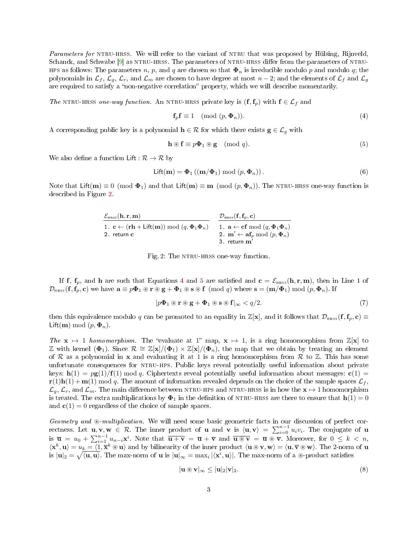<span id="page-2-5"></span>Parameters for NTRU-HRSS. We will refer to the variant of NTRU that was proposed by Hülsing, Rijnveld, Schanck, and Schwabe  $[9]$  as NTRU-HRSS. The parameters of NTRU-HRSS differ from the parameters of NTRU-HPS as follows: The parameters n, p, and q are chosen so that  $\Phi_n$  is irreducible modulo p and modulo q; the polynomials in  $\mathcal{L}_f$ ,  $\mathcal{L}_g$ ,  $\mathcal{L}_r$ , and  $\mathcal{L}_m$  are chosen to have degree at most  $n-2$ ; and the elements of  $\mathcal{L}_f$  and  $\mathcal{L}_g$ are required to satisfy a "non-negative correlation" property, which we will describe momentarily.

The NTRU-HRSS one-way function. An NTRU-HRSS private key is  $(f, f_n)$  with  $f \in \mathcal{L}_f$  and

<span id="page-2-1"></span>
$$
\mathbf{f}_p \mathbf{f} \equiv 1 \pmod{(p, \Phi_n)}.
$$
 (4)

A corresponding public key is a polynomial  $h \in \mathcal{R}$  for which there exists  $g \in \mathcal{L}_g$  with

<span id="page-2-2"></span>
$$
\mathbf{h} \circledast \mathbf{f} \equiv p\mathbf{\Phi}_1 \circledast \mathbf{g} \pmod{q}.\tag{5}
$$

We also define a function Lift :  $\mathcal{R} \to \mathcal{R}$  by

$$
\mathsf{Lift}(\mathbf{m}) = \mathbf{\Phi}_1\left((\mathbf{m}/\mathbf{\Phi}_1)\bmod(p, \mathbf{\Phi}_n)\right). \tag{6}
$$

<span id="page-2-0"></span>Note that Lift(m)  $\equiv 0 \pmod{\Phi_1}$  and that Lift(m)  $\equiv m \pmod{(p, \Phi_n)}$ . The NTRU-HRSS one-way function is described in Figure [2.](#page-2-0)

| $\mathcal{E}_{\text{\tiny HRSS}}(\mathbf{h}, \mathbf{r}, \mathbf{m})$                                  | $\mathcal{D}_{\text{\tiny HRSS}}(\mathbf{f}, \mathbf{f}_p, \mathbf{c})$ |
|--------------------------------------------------------------------------------------------------------|-------------------------------------------------------------------------|
| 1. $\mathbf{c} \leftarrow (\mathbf{r}\mathbf{h} + \mathsf{Lift}(\mathbf{m})) \bmod (q, \Phi_1 \Phi_n)$ | 1. $\mathbf{a} \leftarrow \textbf{cf} \mod (q, \Phi_1 \Phi_n)$          |
| 2. return c                                                                                            | 2. $\mathbf{m}' \leftarrow \mathbf{af}_p \bmod (p, \Phi_n)$             |
|                                                                                                        | 3. return $\mathbf{m}'$                                                 |

Fig. 2: The NTRU-HRSS one-way function.

If f,  $f_p$ , and h are such that Equations [4](#page-2-1) and [5](#page-2-2) are satisfied and  $c = \mathcal{E}_{\text{HRSS}}(h,r,m)$ , then in Line 1 of  $\mathcal{D}_{\text{HRSS}}(\mathbf{f}, \mathbf{f}_p, \mathbf{c})$  we have  $\mathbf{a} \equiv p\mathbf{\Phi}_1 \circledast \mathbf{r} \circledast \mathbf{g} + \mathbf{\Phi}_1 \circledast \mathbf{s} \circledast \mathbf{f} \pmod{q}$  where  $\mathbf{s} = (\mathbf{m}/\mathbf{\Phi}_1) \bmod (p, \mathbf{\Phi}_n)$ . If

<span id="page-2-4"></span>
$$
|p\Phi_1 \circledast \mathbf{r} \circledast \mathbf{g} + \Phi_1 \circledast \mathbf{s} \circledast \mathbf{f}|_{\infty} < q/2. \tag{7}
$$

then this equivalence modulo q can be promoted to an equality in  $\mathbb{Z}[\mathbf{x}]$ , and it follows that  $\mathcal{D}_{\text{HRSS}}(\mathbf{f}, \mathbf{f}_p, \mathbf{c}) \equiv$ Lift(**m**) mod  $(p, \Phi_n)$ .

The  $x \mapsto 1$  homomorphism. The "evaluate at 1" map,  $x \mapsto 1$ , is a ring homomorphism from  $\mathbb{Z}[\mathbf{x}]$  to Z with kernel ( $\Phi_1$ ). Since  $\mathcal{R} \cong \mathbb{Z}[\mathbf{x}]/(\Phi_1) \times \mathbb{Z}[\mathbf{x}]/(\Phi_n)$ , the map that we obtain by treating an element of R as a polynomial in x and evaluating it at 1 is a ring homomorphism from R to Z. This has some unfortunate consequences for ntru-hps. Public keys reveal potentially useful information about private keys:  $h(1) = pg(1)/f(1)$  mod q. Ciphertexts reveal potentially useful information about messages:  $c(1)$  =  $\mathbf{r}(1)\mathbf{h}(1) + \mathbf{m}(1)$  mod q. The amount of information revealed depends on the choice of the sample spaces  $\mathcal{L}_f$ ,  $\mathcal{L}_q$ ,  $\mathcal{L}_r$ , and  $\mathcal{L}_m$ . The main difference between NTRU-HPS and NTRU-HRSS is in how the  $\mathbf{x} \mapsto 1$  homomorphism is treated. The extra multiplications by  $\Phi_1$  in the definition of NTRU-HRSS are there to ensure that  $h(1) = 0$ and  $c(1) = 0$  regardless of the choice of sample spaces.

Geometry and  $\circledast$ -multiplication. We will need some basic geometric facts in our discussion of perfect correctness. Let  $\mathbf{u}, \mathbf{v}, \mathbf{w} \in \mathcal{R}$ . The inner product of **u** and **v** is  $\langle \mathbf{u}, \mathbf{v} \rangle = \sum_{i=0}^{n-1} u_i v_i$ . The conjugate of **u** is  $\overline{\mathbf{u}} = u_0 + \sum_{i=1}^{n-1} u_{n-i} \mathbf{x}^i$ . Note that  $\overline{\mathbf{u} + \mathbf{v}} = \overline{\mathbf{u}} + \overline{\mathbf{v}}$  and  $\overline{\mathbf{u} \circledast \mathbf{v}} = \overline{\mathbf{u}} \circledast \overline{\mathbf{v}}$ . Moreover, for  $0 \leq k < n$ ,  $\langle \mathbf{x}^k, \mathbf{u} \rangle = u_k = \langle 1, \overline{\mathbf{x}}^k \circledast \mathbf{u} \rangle$  and by bilinearity of the inner product  $\langle \mathbf{u} \otimes \mathbf{v}, \mathbf{w} \rangle = \langle \mathbf{u}, \overline{\mathbf{v}} \otimes \mathbf{w} \rangle$ . The 2-norm of  $\mathbf{u}$ is  $|u|_2 = \sqrt{\langle u, u \rangle}$ . The max-norm of **u** is  $|u|_{\infty} = \max_i |\langle x^i, u \rangle|$ . The max-norm of a  $\circledast$ -product satisfies

<span id="page-2-3"></span>
$$
|\mathbf{u} \circledast \mathbf{v}|_{\infty} \le |\mathbf{u}|_{2} |\mathbf{v}|_{2}.
$$
 (8)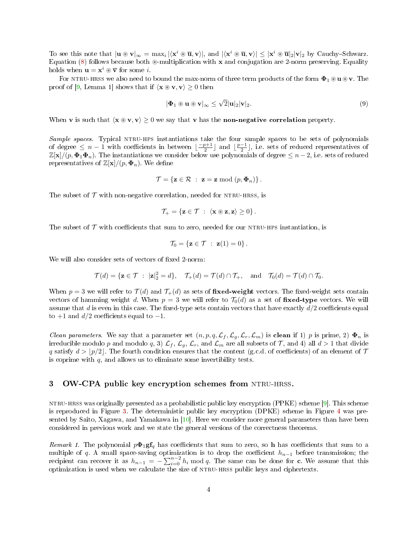<span id="page-3-2"></span>To see this note that  $|\mathbf{u} \circledast \mathbf{v}|_{\infty} = \max_{i} |\langle \mathbf{x}^{i} \circledast \overline{\mathbf{u}}, \mathbf{v} \rangle|$ , and  $|\langle \mathbf{x}^{i} \circledast \overline{\mathbf{u}}, \mathbf{v} \rangle| \leq |\mathbf{x}^{i} \circledast \overline{\mathbf{u}}|_{2} |\mathbf{v}|_{2}$  by Cauchy–Schwarz. Equation [\(8\)](#page-2-3) follows because both  $\mathcal{F}$ -multiplication with x and conjugation are 2-norm preserving. Equality holds when  $\mathbf{u} = \mathbf{x}^i \circledast \nabla$  for some *i*.

For NTRU-HRSS we also need to bound the max-norm of three term products of the form  $\Phi_1 \otimes \mathbf{u} \otimes \mathbf{v}$ . The proof of [\[9,](#page-10-3) Lemma 1] shows that if  $\langle x \otimes v, v \rangle \ge 0$  then

<span id="page-3-1"></span>
$$
|\Phi_1 \circledast \mathbf{u} \circledast \mathbf{v}|_{\infty} \le \sqrt{2} |\mathbf{u}|_2 |\mathbf{v}|_2.
$$
\n(9)

When v is such that  $\langle x \otimes v, v \rangle \ge 0$  we say that v has the **non-negative correlation** property.

Sample spaces. Typical NTRU-HPS instantiations take the four sample spaces to be sets of polynomials of degree  $\leq n-1$  with coefficients in between  $\lfloor \frac{-p+1}{2} \rfloor$  and  $\lfloor \frac{p-1}{2} \rfloor$ , i.e. sets of reduced representatives of  $\mathbb{Z}[\mathbf{x}]/(p, \Phi_1\Phi_n)$ . The instantiations we consider below use polynomials of degree  $\leq n-2$ , i.e. sets of reduced representatives of  $\mathbb{Z}[\mathbf{x}]/(p, \boldsymbol{\Phi}_n)$ . We define

$$
\mathcal{T} = \{ \mathbf{z} \in \mathcal{R} \; : \; \mathbf{z} = \mathbf{z} \bmod (p, \Phi_n) \}.
$$

The subset of  $\mathcal T$  with non-negative correlation, needed for NTRU-HRSS, is

$$
\mathcal{T}_+ = \{ \mathbf{z} \in \mathcal{T} \; : \; \langle \mathbf{x} \circledast \mathbf{z}, \mathbf{z} \rangle \geq 0 \} \, .
$$

The subset of  $\mathcal T$  with coefficients that sum to zero, needed for our NTRU-HPS instantiation, is

$$
\mathcal{T}_0 = \{ \mathbf{z} \in \mathcal{T} \; : \; \mathbf{z}(1) = 0 \} \, .
$$

We will also consider sets of vectors of fixed 2-norm:

$$
\mathcal{T}(d) = \{ \mathbf{z} \in \mathcal{T} \ : \ |\mathbf{z}|_2^2 = d \}, \quad \mathcal{T}_+(d) = \mathcal{T}(d) \cap \mathcal{T}_+, \quad \text{and} \quad \mathcal{T}_0(d) = \mathcal{T}(d) \cap \mathcal{T}_0.
$$

When  $p = 3$  we will refer to  $\mathcal{T}(d)$  and  $\mathcal{T}_+(d)$  as sets of **fixed-weight** vectors. The fixed-weight sets contain vectors of hamming weight d. When  $p = 3$  we will refer to  $\mathcal{T}_0(d)$  as a set of fixed-type vectors. We will assume that d is even in this case. The fixed-type sets contain vectors that have exactly  $d/2$  coefficients equal to  $+1$  and  $d/2$  coefficients equal to  $-1$ .

*Clean parameters.* We say that a parameter set  $(n, p, q, \mathcal{L}_f, \mathcal{L}_g, \mathcal{L}_r, \mathcal{L}_m)$  is **clean** if 1) p is prime, 2)  $\Phi_n$  is irreducible modulo p and modulo q, 3)  $\mathcal{L}_f$ ,  $\mathcal{L}_g$ ,  $\mathcal{L}_r$ , and  $\mathcal{L}_m$  are all subsets of T, and 4) all  $d > 1$  that divide q satisfy  $d > p/2$ . The fourth condition ensures that the content (g.c.d. of coefficients) of an element of  $\mathcal T$ is coprime with  $q$ , and allows us to eliminate some invertibility tests.

# <span id="page-3-0"></span>3 OW-CPA public key encryption schemes from NTRU-HRSS.

ntru-hrss was originally presented as a probabilistic public key encryption (PPKE) scheme [\[9\]](#page-10-3). This scheme is reproduced in Figure [3.](#page-4-0) The deterministic public key encryption (DPKE) scheme in Figure [4](#page-4-1) was presented by Saito, Xagawa, and Yamakawa in  $[10]$ . Here we consider more general parameters than have been considered in previous work and we state the general versions of the correctness theorems.

Remark 1. The polynomial  $p\Phi_1$ gf<sub>a</sub> has coefficients that sum to zero, so h has coefficients that sum to a multiple of q. A small space-saving optimization is to drop the coefficient  $h_{n-1}$  before transmission; the recipient can recover it as  $h_{n-1} = -\sum_{i=0}^{n-2} h_i \mod q$ . The same can be done for c. We assume that this optimization is used when we calculate the size of ntru-hrss public keys and ciphertexts.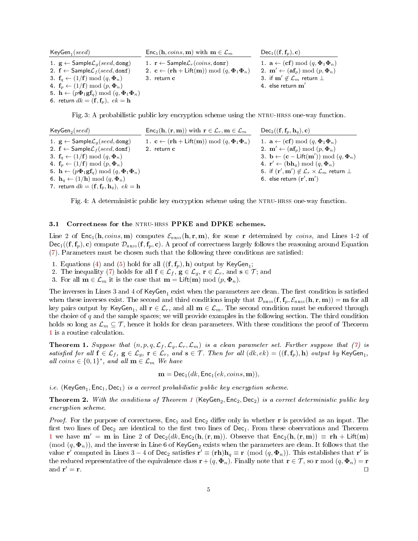<span id="page-4-0"></span>

| $KeyGen_1 (seed)$                                                                                             | $\mathsf{Enc}_1(\mathbf{h}, \mathit{coins}, \mathbf{m})$ with $\mathbf{m} \in \mathcal{L}_m$           | $Dec_1((\mathbf{f}, \mathbf{f}_p), \mathbf{c})$                  |
|---------------------------------------------------------------------------------------------------------------|--------------------------------------------------------------------------------------------------------|------------------------------------------------------------------|
| 1. $\mathbf{g} \leftarrow$ Sample $\mathcal{L}_q$ (seed, domg)                                                | 1. $\mathbf{r} \leftarrow$ Sample $\mathcal{L}_r(cons, \text{domr})$                                   | 1. $\mathbf{a} \leftarrow (\mathbf{cf}) \mod (q, \Phi_1 \Phi_n)$ |
| 2. $f \leftarrow$ Sample $\mathcal{L}_f$ (seed, domf)                                                         | 2. $\mathbf{c} \leftarrow (\mathbf{r}\mathbf{h} + \mathsf{Lift}(\mathbf{m})) \bmod (q, \Phi_1 \Phi_n)$ | 2. $\mathbf{m}' \leftarrow (\mathbf{af}_p) \bmod (p, \Phi_n)$    |
| 3. $f_a \leftarrow (1/f) \mod (q, \Phi_n)$                                                                    | 3. return c                                                                                            | 3. if $\mathbf{m}' \notin \mathcal{L}_m$ return $\perp$          |
| 4. $f_n \leftarrow (1/f) \mod (p, \Phi_n)$                                                                    |                                                                                                        | 4. else return $\mathbf{m}'$                                     |
| 5. $\mathbf{h} \leftarrow (p\mathbf{\Phi}_1\mathbf{g}\mathbf{f}_q) \bmod (q, \mathbf{\Phi}_1\mathbf{\Phi}_n)$ |                                                                                                        |                                                                  |
| 6. return $dk = (\mathbf{f}, \mathbf{f}_p), \ ek = \mathbf{h}$                                                |                                                                                                        |                                                                  |

Fig. 3: A probabilistic public key encryption scheme using the NTRU-HRSS one-way function.

<span id="page-4-1"></span>

| $KeyGen_2 (seed)$                                                                                             | $Enc_2(h, (r, m))$ with $r \in \mathcal{L}_r, m \in \mathcal{L}_m$                                     | $Dec_2((\mathbf{f}, \mathbf{f}_p, \mathbf{h}_q), \mathbf{c})$                               |
|---------------------------------------------------------------------------------------------------------------|--------------------------------------------------------------------------------------------------------|---------------------------------------------------------------------------------------------|
| 1. $\mathbf{g} \leftarrow$ Sample $\mathcal{L}_q$ (seed, domg)                                                | 1. $\mathbf{c} \leftarrow (\mathbf{r}\mathbf{h} + \mathsf{Lift}(\mathbf{m})) \bmod (q, \Phi_1 \Phi_n)$ | 1. $\mathbf{a} \leftarrow (\mathbf{cf}) \mod (q, \Phi_1 \Phi_n)$                            |
| 2. $f \leftarrow$ Sample $\mathcal{L}_f$ (seed, domf)                                                         | $2.$ return $c$                                                                                        | 2. $\mathbf{m}' \leftarrow (\mathbf{af}_n) \bmod (p, \mathbf{\Phi}_n)$                      |
| 3. $f_q \leftarrow (1/f) \mod (q, \Phi_n)$                                                                    |                                                                                                        | 3. $\mathbf{b} \leftarrow (\mathbf{c} - \mathsf{Lift}(\mathbf{m}')) \bmod (q, \Phi_n)$      |
| 4. $f_n \leftarrow (1/f) \mod (p, \Phi_n)$                                                                    |                                                                                                        | 4. $\mathbf{r}' \leftarrow (\mathbf{bh}_q) \bmod (q, \Phi_n)$                               |
| 5. $\mathbf{h} \leftarrow (p\mathbf{\Phi}_1\mathbf{g}\mathbf{f}_q) \bmod (q, \mathbf{\Phi}_1\mathbf{\Phi}_n)$ |                                                                                                        | 5. if $(\mathbf{r}', \mathbf{m}') \notin \mathcal{L}_r \times \mathcal{L}_m$ return $\perp$ |
| 6. $\mathbf{h}_q \leftarrow (1/\mathbf{h}) \bmod (q, \Phi_n)$                                                 |                                                                                                        | 6. else return $(\mathbf{r}', \mathbf{m}')$                                                 |
| 7. return $dk = (\mathbf{f}, \mathbf{f}_p, \mathbf{h}_q)$ , $ek = \mathbf{h}$                                 |                                                                                                        |                                                                                             |

Fig. 4: A deterministic public key encryption scheme using the NTRU-HRSS one-way function.

## <span id="page-4-4"></span>3.1 Correctness for the NTRU-HRSS PPKE and DPKE schemes.

Line 2 of  $Enc_1(h, coins, m)$  computes  $\mathcal{E}_{HRSS}(h, r, m)$ , for some r determined by *coins*, and Lines 1-2 of  $Dec_1((\mathbf{f}, \mathbf{f}_p), \mathbf{c})$  compute  $\mathcal{D}_{HRSS}(\mathbf{f}, \mathbf{f}_p, \mathbf{c})$ . A proof of correctness largely follows the reasoning around Equation [\(7\)](#page-2-4). Parameters must be chosen such that the following three conditions are satised:

- 1. Equations [\(4\)](#page-2-1) and [\(5\)](#page-2-2) hold for all  $((\mathbf{f}, \mathbf{f}_p), \mathbf{h})$  output by  $\mathsf{KeyGen}_1;$
- 2. The inequality [\(7\)](#page-2-4) holds for all  $f \in \mathcal{L}_f$ ,  $g \in \mathcal{L}_g$ ,  $r \in \mathcal{L}_r$ , and  $s \in \mathcal{T}$ ; and
- 3. For all  $\mathbf{m} \in \mathcal{L}_m$  it is the case that  $\mathbf{m} = \mathsf{Lift}(\mathbf{m}) \bmod (p, \Phi_n)$ .

The inverses in Lines 3 and 4 of  $\mathsf{KeyGen}_{1}$  exist when the parameters are clean. The first condition is satisfied when these inverses exist. The second and third conditions imply that  $\mathcal{D}_{HRSS}(\mathbf{f}, \mathbf{f}_p, \mathcal{E}_{HRSS}(\mathbf{h}, \mathbf{r}, \mathbf{m})) = \mathbf{m}$  for all key pairs output by  $\mathsf{KeyGen}_1,$  all  $\mathbf{r} \in \mathcal{L}_r,$  and all  $\mathbf{m} \in \mathcal{L}_m.$  The second condition must be enforced through the choice of  $q$  and the sample spaces; we will provide examples in the following section. The third condition holds so long as  $\mathcal{L}_m \subseteq \mathcal{T}$ , hence it holds for clean parameters. With these conditions the proof of Theorem [1](#page-4-2) is a routine calculation.

<span id="page-4-2"></span>**Theorem 1.** Suppose that  $(n, p, q, \mathcal{L}_f, \mathcal{L}_g, \mathcal{L}_r, \mathcal{L}_m)$  is a clean parameter set. Further suppose that [\(7\)](#page-2-4) is satisfied for all  $f \in \mathcal{L}_f$ ,  $g \in \mathcal{L}_g$ ,  $r \in \mathcal{L}_r$ , and  $s \in \mathcal{T}$ . Then for all  $(dk, ek) = ((f, f_p), h)$  output by KeyGen<sub>1</sub>, all coins  $\in \{0,1\}^*$ , and all  $\mathbf{m} \in \mathcal{L}_m$  We have

$$
\mathbf{m} = \mathsf{Dec}_1(dk, \mathsf{Enc}_1(ek, coins, \mathbf{m})),
$$

*i.e.* (KeyGen<sub>1</sub>, Enc<sub>1</sub>, Dec<sub>1</sub>) is a correct probabilistic public key encryption scheme.

<span id="page-4-3"></span>**Theorem 2.** With the conditions of Theorem [1](#page-4-2) (KeyGen<sub>2</sub>, Enc<sub>2</sub>, Dec<sub>2</sub>) is a correct deterministic public key encryption scheme.

*Proof.* For the purpose of correctness,  $Enc_1$  and  $Enc_2$  differ only in whether r is provided as an input. The first two lines of  $Dec_2$  are identical to the first two lines of  $Dec_1$ . From these observations and Theorem [1](#page-4-2) we have  $m' = m$  in Line 2 of Dec<sub>2</sub>(dk, Enc<sub>2</sub>(h,(r, m)). Observe that  $Enc_2(h,(r, m)) \equiv rh + Lift(m)$  $(\text{mod } (q, \Phi_n))$ , and the inverse in Line 6 of KeyGen<sub>2</sub> exists when the parameters are clean. It follows that the value r' computed in Lines 3 – 4 of Dec<sub>2</sub> satisfies r'  $\equiv$  (rh) $h_q \equiv r \pmod{(q, \Phi_n)}$ . This establishes that r' is the reduced representative of the equivalence class  $\mathbf{r}+ (q, \Phi_n)$ . Finally note that  $\mathbf{r} \in \mathcal{T}$ , so  $\mathbf{r} \mod (q, \Phi_n) = \mathbf{r}$ and  $\mathbf{r}' = \mathbf{r}$ .  $\mathbf{v}' = \mathbf{r}$ .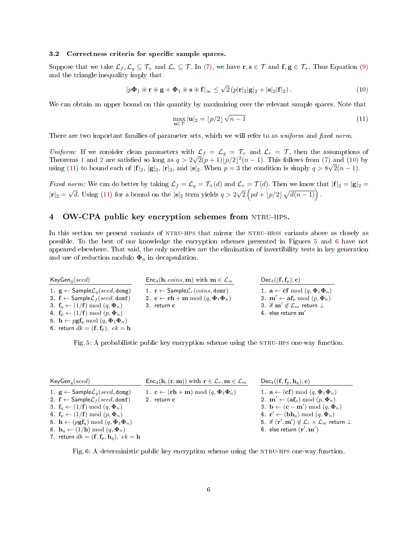#### <span id="page-5-5"></span>3.2 Correctness criteria for specific sample spaces.

Suppose that we take  $\mathcal{L}_f, \mathcal{L}_g \subseteq \mathcal{T}_+$  and  $\mathcal{L}_r \subseteq \mathcal{T}_+$  In [\(7\)](#page-2-4), we have  $\mathbf{r}, \mathbf{s} \in \mathcal{T}$  and  $\mathbf{f}, \mathbf{g} \in \mathcal{T}_+$ . Thus Equation [\(9\)](#page-3-1) and the triangle inequality imply that

<span id="page-5-1"></span>
$$
|p\mathbf{\Phi}_1 \circledast \mathbf{r} \circledast \mathbf{g} + \mathbf{\Phi}_1 \circledast \mathbf{s} \circledast \mathbf{f}|_{\infty} \le \sqrt{2} \left( p|\mathbf{r}|_2|\mathbf{g}|_2 + |\mathbf{s}|_2|\mathbf{f}|_2 \right). \tag{10}
$$

We can obtain an upper bound on this quantity by maximizing over the relevant sample spaces. Note that

<span id="page-5-2"></span>
$$
\max_{\mathbf{u}\in\mathcal{T}}|\mathbf{u}|_2 = \lfloor p/2 \rfloor \sqrt{n-1}
$$
 (11)

There are two important families of parameter sets, which we will refer to as uniform and fixed norm.

Uniform: If we consider clean parameters with  $\mathcal{L}_f = \mathcal{L}_g = \mathcal{T}_+$  and  $\mathcal{L}_r = \mathcal{T}$ , then the assumptions of Theorems [1](#page-4-2) and [2](#page-4-3) are satisfied so long as  $q > 2$  $^1$  ,  $\overline{2}(p+1)[p/2]^2(n-1)$ . This follows from [\(7\)](#page-2-4) and [\(10\)](#page-5-1) by using [\(11\)](#page-5-2) to bound each of  $|\mathbf{f}|_2$ ,  $|\mathbf{g}|_2$ ,  $|\mathbf{r}|_2$ , and  $|\mathbf{s}|_2$ . When  $p = 3$  the condition is simply  $q > 8\sqrt{2(n-1)}$ .

*Fixed norm:* We can do better by taking  $\mathcal{L}_f = \mathcal{L}_g = \mathcal{T}_+(d)$  and  $\mathcal{L}_r = \mathcal{T}(d)$ . Then we know that  $|\mathbf{f}|_2 = |\mathbf{g}|_2 =$  $|{\bf r}|_2 =$ √ d. Using [\(11\)](#page-5-2) for a bound on the  $|\mathbf{s}|_2$  term yields  $q > 2$ √  $\overline{2}\left(pd + \lfloor p/2 \rfloor \sqrt{d(n-1)}\right).$ 

# <span id="page-5-0"></span>4 OW-CPA public key encryption schemes from NTRU-HPS.

In this section we present variants of NTRU-HPS that mirror the NTRU-HRSS variants above as closely as possible. To the best of our knowledge the encryption schemes presented in Figures [5](#page-5-3) and [6](#page-5-4) have not appeared elsewhere. That said, the only novelties are the elimination of invertibility tests in key generation and use of reduction modulo  $\Phi_n$  in decapsulation.

<span id="page-5-3"></span>

| $KeyGen_3(seed)$                                                                              | $Enc3(h, coins, m)$ with $m \in Lm$                                                   | $Dec_3((\mathbf{f}, \mathbf{f}_n), \mathbf{c})$                |
|-----------------------------------------------------------------------------------------------|---------------------------------------------------------------------------------------|----------------------------------------------------------------|
| 1. $\mathbf{g} \leftarrow$ Sample $\mathcal{L}_q$ (seed, domg)                                | 1. $\mathbf{r} \leftarrow$ Sample $\mathcal{L}_r(cons, domr)$                         | 1. $\mathbf{a} \leftarrow \mathbf{cf} \mod (q, \Phi_1 \Phi_n)$ |
| 2. $f \leftarrow$ Sample $\mathcal{L}_f$ (seed, domf)                                         | 2. $\mathbf{c} \leftarrow \mathbf{r}\mathbf{h} + \mathbf{m} \bmod (q, \Phi_1 \Phi_n)$ | 2. $\mathbf{m}' \leftarrow \mathbf{af}_p \bmod (p, \Phi_n)$    |
| 3. $f_q \leftarrow (1/f) \mod (q, \Phi_n)$                                                    | 3. return c                                                                           | 3. if $\mathbf{m}' \notin \mathcal{L}_m$ return $\perp$        |
| 4. $f_n \leftarrow (1/f) \mod (p, \Phi_n)$                                                    |                                                                                       | 4. else return $\mathbf{m}'$                                   |
| 5. $\mathbf{h} \leftarrow p\mathbf{g}\mathbf{f}_q \bmod (q, \mathbf{\Phi}_1 \mathbf{\Phi}_n)$ |                                                                                       |                                                                |
| 6. return $dk = (\mathbf{f}, \mathbf{f}_p)$ , $ek = \mathbf{h}$                               |                                                                                       |                                                                |

Fig. 5: A probabilistic public key encryption scheme using the ntru-hps one-way function.

<span id="page-5-4"></span>

| $KeyGen_4(seed)$                                                                               | $Enc_4(h, (r, m))$ with $r \in \mathcal{L}_r, m \in \mathcal{L}_m$                      | $Dec_4((\mathbf{f}, \mathbf{f}_p, \mathbf{h}_q), \mathbf{c})$                               |
|------------------------------------------------------------------------------------------------|-----------------------------------------------------------------------------------------|---------------------------------------------------------------------------------------------|
| 1. $\mathbf{g} \leftarrow$ Sample $\mathcal{L}_q$ (seed, domg)                                 | 1. $\mathbf{c} \leftarrow (\mathbf{r}\mathbf{h} + \mathbf{m}) \bmod (q, \Phi_1 \Phi_n)$ | 1. $\mathbf{a} \leftarrow (\mathbf{cf}) \mod (q, \Phi_1 \Phi_n)$                            |
| 2. $f \leftarrow$ Sample $\mathcal{L}_f$ (seed, domf)                                          | 2. return c                                                                             | 2. $\mathbf{m}' \leftarrow (\mathbf{af}_p) \bmod (p, \Phi_n)$                               |
| 3. $f_a \leftarrow (1/f) \mod (q, \Phi_n)$                                                     |                                                                                         | 3. $\mathbf{b} \leftarrow (\mathbf{c} - \mathbf{m}') \bmod (q, \Phi_n)$                     |
| 4. $f_p \leftarrow (1/f) \mod (p, \Phi_n)$                                                     |                                                                                         | 4. $\mathbf{r}' \leftarrow (\mathbf{bh}_q) \bmod (q, \Phi_n)$                               |
| 5. $\mathbf{h} \leftarrow (p\mathbf{g}\mathbf{f}_q) \bmod (q, \mathbf{\Phi}_1\mathbf{\Phi}_n)$ |                                                                                         | 5. if $(\mathbf{r}', \mathbf{m}') \notin \mathcal{L}_r \times \mathcal{L}_m$ return $\perp$ |
| 6. $\mathbf{h}_q \leftarrow (1/\mathbf{h}) \bmod (q, \Phi_n)$                                  |                                                                                         | 6. else return $(\mathbf{r}', \mathbf{m}')$                                                 |
| 7. return $dk = (\mathbf{f}, \mathbf{f}_p, \mathbf{h}_q)$ , $ek = \mathbf{h}$                  |                                                                                         |                                                                                             |

Fig. 6: A deterministic public key encryption scheme using the NTRU-HPS one-way function.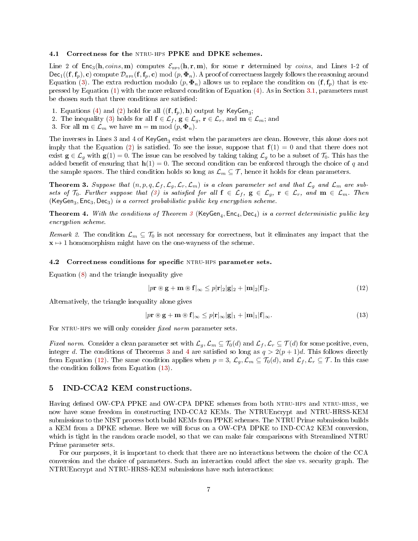#### 4.1 Correctness for the NTRU-HPS PPKE and DPKE schemes.

Line 2 of Enc<sub>3</sub>(h, coins, m) computes  $\mathcal{E}_{\text{HPS}}(\mathbf{h}, \mathbf{r}, \mathbf{m})$ , for some r determined by coins, and Lines 1-2 of  $Dec_1((\mathbf{f}, \mathbf{f}_p), \mathbf{c})$  compute  $\mathcal{D}_{\text{HPS}}(\mathbf{f}, \mathbf{f}_p, \mathbf{c}) \mod (p, \Phi_n)$ . A proof of correctness largely follows the reasoning around Equation [\(3\)](#page-1-4). The extra reduction modulo  $(p, \Phi_n)$  allows us to replace the condition on  $(f, f_p)$  that is expressed by Equation [\(1\)](#page-1-2) with the more relaxed condition of Equation [\(4\)](#page-2-1). As in Section [3.1,](#page-4-4) parameters must be chosen such that three conditions are satisfied:

- 1. Equations [\(4\)](#page-2-1) and [\(2\)](#page-1-3) hold for all  $((\mathbf{f}, \mathbf{f}_p), \mathbf{h})$  output by KeyGen<sub>3</sub>;
- 2. The inequality [\(3\)](#page-1-4) holds for all  $f \in \mathcal{L}_f$ ,  $g \in \mathcal{L}_g$ ,  $r \in \mathcal{L}_r$ , and  $m \in \mathcal{L}_m$ ; and
- 3. For all  $\mathbf{m} \in \mathcal{L}_m$  we have  $\mathbf{m} = \mathbf{m} \bmod (p, \Phi_n)$ .

The inverses in Lines 3 and 4 of  $\mathsf{KeyGen}_3$  exist when the parameters are clean. However, this alone does not imply that the Equation [\(2\)](#page-1-3) is satisfied. To see the issue, suppose that  $f(1) = 0$  and that there does not exist  $g \in \mathcal{L}_g$  with  $g(1) = 0$ . The issue can be resolved by taking taking  $\mathcal{L}_g$  to be a subset of  $\mathcal{T}_0$ . This has the added benefit of ensuring that  $h(1) = 0$ . The second condition can be enforced through the choice of q and the sample spaces. The third condition holds so long as  $\mathcal{L}_m \subseteq \mathcal{T}$ , hence it holds for clean parameters.

<span id="page-6-1"></span>**Theorem 3.** Suppose that  $(n, p, q, \mathcal{L}_f, \mathcal{L}_g, \mathcal{L}_r, \mathcal{L}_m)$  is a clean parameter set and that  $\mathcal{L}_g$  and  $\mathcal{L}_m$  are subsets of  $\mathcal{T}_0$ . Further suppose that [\(3\)](#page-1-4) is satisfied for all  $f \in \mathcal{L}_f$ ,  $g \in \mathcal{L}_g$ ,  $r \in \mathcal{L}_r$ , and  $m \in \mathcal{L}_m$ . Then  $(KeyGen_3, Enc_3, Dec_3)$  is a correct probabilistic public key encryption scheme.

<span id="page-6-2"></span>**Theorem 4.** With the conditions of Theorem  $\beta$  (KeyGen<sub>4</sub>, Enc<sub>4</sub>, Dec<sub>4</sub>) is a correct deterministic public key encryption scheme.

Remark 2. The condition  $\mathcal{L}_m \subseteq \mathcal{T}_0$  is not necessary for correctness, but it eliminates any impact that the  $x \mapsto 1$  homomorphism might have on the one-wayness of the scheme.

## <span id="page-6-5"></span>4.2 Correctness conditions for specific NTRU-HPS parameter sets.

Equation [\(8\)](#page-2-3) and the triangle inequality give

<span id="page-6-3"></span>
$$
|p\mathbf{r} \circledast \mathbf{g} + \mathbf{m} \circledast \mathbf{f}|_{\infty} \leq p|\mathbf{r}|_{2}|\mathbf{g}|_{2} + |\mathbf{m}|_{2}|\mathbf{f}|_{2}.
$$
 (12)

Alternatively, the triangle inequality alone gives

<span id="page-6-4"></span>
$$
|p\mathbf{r} \circledast \mathbf{g} + \mathbf{m} \circledast \mathbf{f}|_{\infty} \leq p|\mathbf{r}|_{\infty}|\mathbf{g}|_{1} + |\mathbf{m}|_{1}|\mathbf{f}|_{\infty}.
$$
\n(13)

For NTRU-HPS we will only consider fixed norm parameter sets.

Fixed norm. Consider a clean parameter set with  $\mathcal{L}_q$ ,  $\mathcal{L}_m \subseteq \mathcal{T}_0(d)$  and  $\mathcal{L}_f$ ,  $\mathcal{L}_r \subseteq \mathcal{T}(d)$  for some positive, even, integer d. The conditions of Theorems [3](#page-6-1) and [4](#page-6-2) are satisfied so long as  $q > 2(p+1)d$ . This follows directly from Equation [\(12\)](#page-6-3). The same condition applies when  $p = 3$ ,  $\mathcal{L}_g$ ,  $\mathcal{L}_m \subseteq \mathcal{T}_0(d)$ , and  $\mathcal{L}_f$ ,  $\mathcal{L}_r \subseteq \mathcal{T}$ . In this case the condition follows from Equation [\(13\)](#page-6-4).

# <span id="page-6-0"></span>5 IND-CCA2 KEM constructions.

Having defined OW-CPA PPKE and OW-CPA DPKE schemes from both NTRU-HPS and NTRU-HRSS, we now have some freedom in constructing IND-CCA2 KEMs. The NTRUEncrypt and NTRU-HRSS-KEM submissions to the NIST process both build KEMs from PPKE schemes. The NTRU Prime submission builds a KEM from a DPKE scheme. Here we will focus on a OW-CPA DPKE to IND-CCA2 KEM conversion, which is tight in the random oracle model, so that we can make fair comparisons with Streamlined NTRU Prime parameter sets.

For our purposes, it is important to check that there are no interactions between the choice of the CCA conversion and the choice of parameters. Such an interaction could affect the size vs. security graph. The NTRUEncrypt and NTRU-HRSS-KEM submissions have such interactions: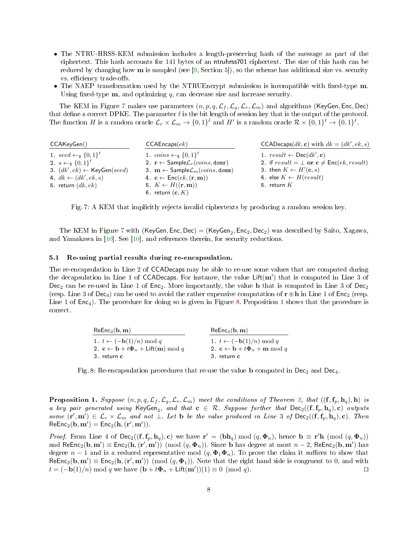- <span id="page-7-4"></span>• The NTRU-HRSS-KEM submission includes a length-preserving hash of the message as part of the ciphertext. This hash accounts for 141 bytes of an ntruhrss701 ciphertext. The size of this hash can be reduced by changing how  $\bf{m}$  is sampled (see [\[9,](#page-10-3) Section 5]), so the scheme has additional size vs. security vs. efficiency trade-offs.
- The NAEP transformation used by the NTRUEncrypt submission is incompatible with fixed-type m. Using fixed-type  $m$ , and optimizing  $q$ , can decrease size and increase security.

The KEM in Figure [7](#page-7-1) makes use parameters  $(n, p, q, \mathcal{L}_f, \mathcal{L}_g, \mathcal{L}_r, \mathcal{L}_m)$  and algorithms (KeyGen, Enc, Dec) that define a correct DPKE. The parameter  $\ell$  is the bit length of session key that is the output of the protocol. The function H is a random oracle  $\mathcal{L}_r \times \mathcal{L}_m \to \{0,1\}^{\ell}$  and H' is a random oracle  $\mathcal{R} \times \{0,1\}^{\ell} \to \{0,1\}^{\ell}$ .

<span id="page-7-1"></span>

| CCAKeyGen()                                         | CCAEncaps(ek)                                                         | CCADecaps $(dk, c)$ with $dk = (dk', ek, s)$       |
|-----------------------------------------------------|-----------------------------------------------------------------------|----------------------------------------------------|
| 1. seed $\leftarrow$ <sub>\$</sub> $\{0,1\}^{\ell}$ | 1. $\text{coins} \leftarrow_{\$} \{0,1\}^{\ell}$                      | 1. $result \leftarrow \text{Dec}(dk', c)$          |
| 2. $s \leftarrow_s \{0,1\}^{\ell}$                  | 2. $\mathbf{r} \leftarrow$ Sample $\mathcal{L}_r(cons, \text{domr})$  | 2. if $result = \perp$ or $c \neq Enc(ek, result)$ |
| 3. $(dk', ek) \leftarrow \text{KeyGen}(seed)$       | 3. $\mathbf{m} \leftarrow$ Sample $\mathcal{L}_m(coins, \text{domm})$ | 3. then $K \leftarrow H'(\mathbf{c}, s)$           |
| 4. $dk \leftarrow (dk', ek, s)$                     | 4. $\mathbf{c} \leftarrow \mathsf{Enc}(ek, (\mathbf{r}, \mathbf{m}))$ | 4. else $K \leftarrow H(result)$                   |
| 5. return $(dk, ek)$                                | 5. $K \leftarrow H((\mathbf{r}, \mathbf{m}))$                         | 5. return $K$                                      |
|                                                     | 6. return $(c, K)$                                                    |                                                    |

Fig. 7: A KEM that implicitly rejects invalid ciphertexts by producing a random session key.

The KEM in Figure [7](#page-7-1) with (KeyGen, Enc, Dec) = (KeyGen<sub>2</sub>, Enc<sub>2</sub>, Dec<sub>2</sub>) was described by Saito, Xagawa, and Yamakawa in [\[10\]](#page-10-0). See [\[10\]](#page-10-0), and references therein, for security reductions.

#### <span id="page-7-0"></span>5.1 Re-using partial results during re-encapsulation.

The re-encapsulation in Line 2 of CCADecaps may be able to re-use some values that are computed during the decapsulation in Line 1 of CCADecaps. For instance, the value  $\text{Lift}(\textbf{m}')$  that is computed in Line 3 of Dec<sub>2</sub> can be re-used in Line 1 of Enc<sub>2</sub>. More importantly, the value b that is computed in Line 3 of Dec<sub>2</sub> (resp. Line 3 of Dec<sub>4</sub>) can be used to avoid the rather expensive computation of  $\mathbf{r}\circledast\mathbf{h}$  in Line 1 of Enc<sub>2</sub> (resp. Line [1](#page-7-3) of  $Enc_4$ ). The procedure for doing so is given in Figure [8.](#page-7-2) Proposition 1 shows that the procedure is correct.

<span id="page-7-2"></span>

| $ReEnc_2(b, m)$                                                                              | $ReEnc_4(b, m)$                                                               |
|----------------------------------------------------------------------------------------------|-------------------------------------------------------------------------------|
| 1. $t \leftarrow (-\mathbf{b}(1)/n) \bmod q$                                                 | 1. $t \leftarrow (-\mathbf{b}(1)/n) \bmod q$                                  |
| 2. $\mathbf{c} \leftarrow \mathbf{b} + t\mathbf{\Phi}_n + \mathsf{Lift}(\mathbf{m}) \bmod q$ | 2. $\mathbf{c} \leftarrow \mathbf{b} + t\mathbf{\Phi}_n + \mathbf{m} \bmod q$ |
| 3. return c                                                                                  | 3. return c                                                                   |

Fig. 8: Re-encapsulation procedures that re-use the value **b** computed in  $Dec_2$  and  $Dec_4$ .

<span id="page-7-3"></span>**Proposition 1.** Suppose  $(n, p, q, \mathcal{L}_f, \mathcal{L}_g, \mathcal{L}_r, \mathcal{L}_m)$  meet the conditions of Theorem [2,](#page-4-3) that  $((\mathbf{f}, \mathbf{f}_p, \mathbf{h}_q), \mathbf{h})$  is a key pair generated using  $KeyGen_2$ , and that  $c \in \mathcal{R}$ . Suppose further that  $Dec_2((f, f_p, h_q), c)$  outputs some  $(\mathbf{r}',\mathbf{m}') \in \mathcal{L}_r \times \mathcal{L}_m$  and not  $\perp$ . Let b be the value produced in Line 3 of  $\mathsf{Dec}_2((\mathbf{f},\mathbf{f}_p,\mathbf{h}_q),\mathbf{c})$ . Then  $\mathsf{ReEnc}_2(\mathbf{b}, \mathbf{m}') = \mathsf{Enc}_2(\mathbf{h}, (\mathbf{r}', \mathbf{m}')).$ 

*Proof.* From Line 4 of  $\text{Dec}_2((f, f_p, h_q), c)$  we have  $r' = (bh_q) \mod (q, \Phi_n)$ , hence  $b \equiv r'h \pmod{(q, \Phi_n)}$ and ReEnc<sub>2</sub>(b, m')  $\equiv$  Enc<sub>2</sub>(h,(r',m')) (mod (q,  $\Phi_n$ )). Since b has degree at most  $n-2$ , ReEnc<sub>2</sub>(b, m') has degree  $n-1$  and is a reduced representative mod  $(q, \Phi_1 \Phi_n)$ . To prove the claim it suffices to show that  $\mathsf{ReEnc}_2(\mathbf{b}, \mathbf{m}') \equiv \mathsf{Enc}_2(\mathbf{h}, (\mathbf{r}', \mathbf{m}')) \pmod{(q, \Phi_1)}$ . Note that the right hand side is congruent to 0, and with  $t = (-\mathbf{b}(1)/n) \bmod q$  we have  $(\mathbf{b} + t\mathbf{\Phi}_n + \mathsf{Lift}(\mathbf{m}'))(1) \equiv 0 \pmod{q}$ .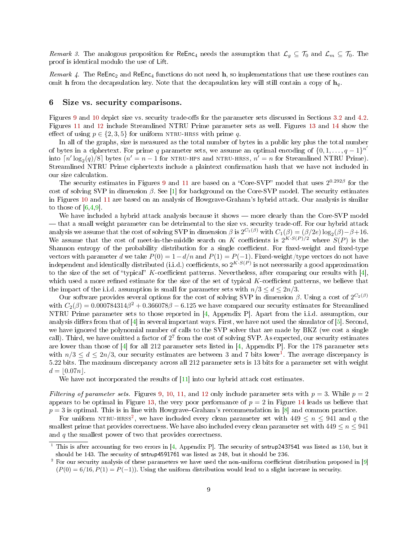<span id="page-8-3"></span>Remark 3. The analogous proposition for ReEnc<sub>4</sub> needs the assumption that  $\mathcal{L}_g \subseteq \mathcal{T}_0$  and  $\mathcal{L}_m \subseteq \mathcal{T}_0$ . The proof is identical modulo the use of Lift.

Remark 4. The ReEnc<sub>2</sub> and ReEnc<sub>4</sub> functions do not need h, so implementations that use these routines can omit h from the decapsulation key. Note that the decapsulation key will still contain a copy of  $\mathbf{h}_q$ .

# <span id="page-8-0"></span>6 Size vs. security comparisons.

Figures [9](#page-11-0) and [10](#page-12-0) depict size vs. security trade-offs for the parameter sets discussed in Sections [3.2](#page-5-5) and [4.2.](#page-6-5) Figures [11](#page-13-0) and [12](#page-14-0) include Streamlined NTRU Prime parameter sets as well. Figures [13](#page-15-0) and [14](#page-16-0) show the effect of using  $p \in \{2, 3, 5\}$  for uniform NTRU-HRSS with prime q.

In all of the graphs, size is measured as the total number of bytes in a public key plus the total number of bytes in a ciphertext. For prime q parameter sets, we assume an optimal encoding of  $\{0, 1, \ldots, q-1\}^{n'}$ into  $\lceil n' \log_2(q)/8 \rceil$  bytes  $(n' = n - 1$  for NTRU-HPS and NTRU-HRSS,  $n' = n$  for Streamlined NTRU Prime). Streamlined NTRU Prime ciphertexts include a plaintext confirmation hash that we have not included in our size calculation.

The security estimates in Figures [9](#page-11-0) and [11](#page-13-0) are based on a "Core-SVP" model that uses  $2^{0.292\beta}$  for the cost of solving SVP in dimension  $\beta$ . See [\[1\]](#page-10-4) for background on the Core-SVP model. The security estimates in Figures [10](#page-12-0) and [11](#page-13-0) are based on an analysis of Howgrave-Graham's hybrid attack. Our analysis is similar to those of  $[6,4,9]$  $[6,4,9]$  $[6,4,9]$ .

We have included a hybrid attack analysis because it shows  $-$  more clearly than the Core-SVP model that a small weight parameter can be detrimental to the size vs. security trade-off. For our hybrid attack analysis we assume that the cost of solving SVP in dimension  $\beta$  is  $2^{C_1(\beta)}$  with  $C_1(\beta) = (\beta/2e) \log_2(\beta) - \beta + 16$ . We assume that the cost of meet-in-the-middle search on K coefficients is  $2^{K \cdot S(P)/2}$  where  $S(P)$  is the Shannon entropy of the probability distribution for a single coefficient. For fixed-weight and fixed-type vectors with parameter d we take  $P(0) = 1 - d/n$  and  $P(1) = P(-1)$ . Fixed-weight/type vectors do not have independent and identically distributed (i.i.d.) coefficients, so  $2^{K\cdot S(P)}$  is not necessarily a good approximation to the size of the set of "typical" K-coefficient patterns. Nevertheless, after comparing our results with [\[4\]](#page-10-6), which used a more refined estimate for the size of the set of typical  $K$ -coefficient patterns, we believe that the impact of the i.i.d. assumption is small for parameter sets with  $n/3 \leq d \leq 2n/3$ .

Our software provides several options for the cost of solving SVP in dimension  $\beta$ . Using a cost of  $2^{C_2(\beta)}$ with  $C_2(\beta) = 0.000784314\beta^2 + 0.366078\beta - 6.125$  we have compared our security estimates for Streamlined NTRU Prime parameter sets to those reported in [\[4,](#page-10-6) Appendix P]. Apart from the i.i.d. assumption, our analysis differs from that of  $[4]$  in several important ways. First, we have not used the simulator of  $[5]$ . Second, we have ignored the polynomial number of calls to the SVP solver that are made by BKZ (we cost a single call). Third, we have omitted a factor of  $2^7$  from the cost of solving SVP. As expected, our security estimates are lower than those of [\[4\]](#page-10-6) for all 212 parameter sets listed in [\[4,](#page-10-6) Appendix P]. For the 178 parameter sets with  $n/3 \leq d \leq 2n/3$ , our security estimates are between 3 and 7 bits lower<sup>[1](#page-8-1)</sup>. The average discrepancy is 5.22 bits. The maximum discrepancy across all 212 parameter sets is 13 bits for a parameter set with weight  $d = |0.07n|$ .

We have not incorporated the results of  $[11]$  into our hybrid attack cost estimates.

Filtering of parameter sets. Figures [9,](#page-11-0) [10,](#page-12-0) [11,](#page-13-0) and [12](#page-14-0) only include parameter sets with  $p = 3$ . While  $p = 2$ appears to be optimal in Figure [13,](#page-15-0) the very poor performance of  $p = 2$  in Figure [14](#page-16-0) leads us believe that  $p = 3$  is optimal. This is in line with Howgrave–Graham's recommendation in [\[8\]](#page-10-9) and common practice.

For uniform NTRU-HRSS<sup>[2](#page-8-2)</sup>, we have included every clean parameter set with  $449 \le n \le 941$  and q the smallest prime that provides correctness. We have also included every clean parameter set with  $449 \leq n \leq 941$ and  $q$  the smallest power of two that provides correctness.

<span id="page-8-1"></span><sup>&</sup>lt;sup>1</sup> This is after accounting for two errors in [\[4,](#page-10-6) Appendix P]. The security of sntrup2437541 was listed as 150, but it should be 143. The security of sntrup4591761 was listed as 248, but it should be 236.

<span id="page-8-2"></span> $2$  For our security analysis of these parameters we have used the non-uniform coefficient distribution proposed in [\[9\]](#page-10-3)  $(P(0) = 6/16, P(1) = P(-1))$ . Using the uniform distribution would lead to a slight increase in security.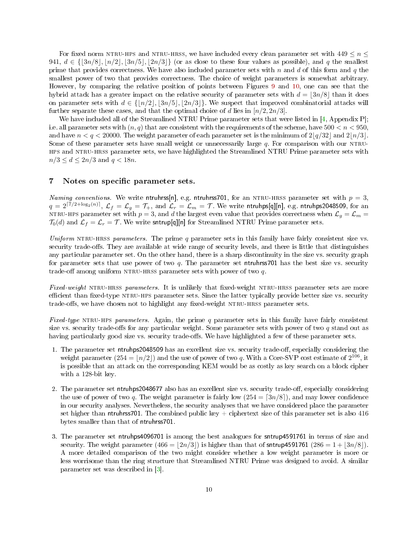<span id="page-9-1"></span>For fixed norm NTRU-HPS and NTRU-HRSS, we have included every clean parameter set with  $449 \leq n \leq$ 941,  $d \in \{|\frac{3n}{8}|, |n/2|, |\frac{3n}{5}|, |\frac{2n}{3}|\}$  (or as close to these four values as possible), and q the smallest prime that provides correctness. We have also included parameter sets with n and d of this form and q the smallest power of two that provides correctness. The choice of weight parameters is somewhat arbitrary. However, by comparing the relative position of points between Figures [9](#page-11-0) and [10,](#page-12-0) one can see that the hybrid attack has a greater impact on the relative security of parameter sets with  $d = \lfloor 3n/8 \rfloor$  than it does on parameter sets with  $d \in \{ |n/2|, |3n/5|, |2n/3| \}$ . We suspect that improved combinatorial attacks will further separate these cases, and that the optimal choice of d lies in  $\lceil n/2, 2n/3 \rceil$ .

We have included all of the Streamlined NTRU Prime parameter sets that were listed in [\[4,](#page-10-6) Appendix P]; i.e. all parameter sets with  $(n, q)$  that are consistent with the requirements of the scheme, have  $500 < n < 950$ , and have  $n < q < 20000$ . The weight parameter of each parameter set is the minimum of  $2|q/32|$  and  $2|n/3|$ . Some of these parameter sets have small weight or unnecessarily large  $q$ . For comparison with our NTRUhps and ntru-hrss parameter sets, we have highlighted the Streamlined NTRU Prime parameter sets with  $n/3 \leq d \leq 2n/3$  and  $q < 18n$ .

# <span id="page-9-0"></span>7 Notes on specific parameter sets.

Naming conventions. We write ntruhrss[n], e.g. ntruhrss701, for an NTRU-HRSS parameter set with  $p = 3$ ,  $q=2^{\lceil 7/2+\log_2(n)\rceil},$   $\mathcal{L}_f=\mathcal{L}_g=\mathcal{T}_+ ,$  and  $\mathcal{L}_r=\mathcal{L}_m=\mathcal{T} .$  We write ntruhps[q][n], e.g. ntruhps2048509, for an NTRU-HPS parameter set with  $p = 3$ , and d the largest even value that provides correctness when  $\mathcal{L}_q = \mathcal{L}_m$  $\mathcal{T}_0(d)$  and  $\mathcal{L}_f = \mathcal{L}_r = \mathcal{T}$ . We write sntrup[q][n] for Streamlined NTRU Prime parameter sets.

Uniform NTRU-HRSS parameters. The prime  $q$  parameter sets in this family have fairly consistent size vs. security trade-offs. They are available at wide range of security levels, and there is little that distinguishes any particular parameter set. On the other hand, there is a sharp discontinuity in the size vs. security graph for parameter sets that use power of two  $q$ . The parameter set ntruhrss701 has the best size vs. security trade-off among uniform NTRU-HRSS parameter sets with power of two  $q$ .

Fixed-weight NTRU-HRSS parameters. It is unlikely that fixed-weight NTRU-HRSS parameter sets are more efficient than fixed-type NTRU-HPS parameter sets. Since the latter typically provide better size vs. security trade-offs, we have chosen not to highlight any fixed-weight NTRU-HRSS parameter sets.

Fixed-type NTRU-HPS parameters. Again, the prime q parameter sets in this family have fairly consistent size vs. security trade-offs for any particular weight. Some parameter sets with power of two  $q$  stand out as having particularly good size vs. security trade-offs. We have highlighted a few of these parameter sets.

- 1. The parameter set ntruhps2048509 has an excellent size vs. security trade-off, especially considering the weight parameter  $(254 = \lfloor n/2 \rfloor)$  and the use of power of two q. With a Core-SVP cost estimate of  $2^{106}$ , it is possible that an attack on the corresponding KEM would be as costly as key search on a block cipher with a 128-bit key.
- 2. The parameter set ntruhps2048677 also has an excellent size vs. security trade-off, especially considering the use of power of two q. The weight parameter is fairly low  $(254 = \lceil 3n/8 \rceil)$ , and may lower confidence in our security analyses. Nevertheless, the security analyses that we have considered place the parameter set higher than ntruhrss701. The combined public key  $+$  ciphertext size of this parameter set is also 416 bytes smaller than that of ntruhrss701.
- 3. The parameter set ntruhps4096701 is among the best analogues for sntrup4591761 in terms of size and security. The weight parameter  $(466 = |2n/3|)$  is higher than that of sntrup4591761  $(286 = 1 + |3n/8|)$ . A more detailed comparison of the two might consider whether a low weight parameter is more or less worrisome than the ring structure that Streamlined NTRU Prime was designed to avoid. A similar parameter set was described in [\[3\]](#page-10-10).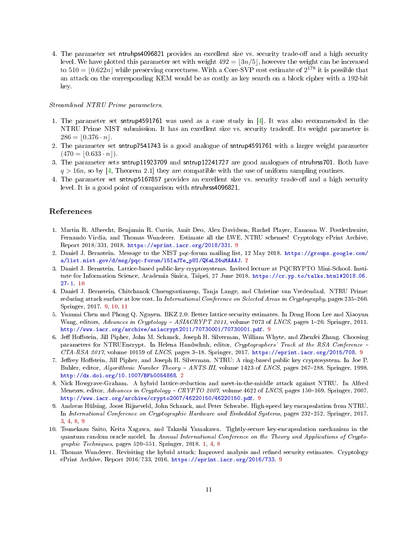<span id="page-10-11"></span>4. The parameter set ntruhps4096821 provides an excellent size vs. security trade-off and a high security level. We have plotted this parameter set with weight  $492 = \lfloor 3n/5 \rfloor$ , however the weight can be increased to  $510 = \lfloor 0.622n \rfloor$  while preserving correctness. With a Core-SVP cost estimate of  $2^{178}$  it is possible that an attack on the corresponding KEM would be as costly as key search on a block cipher with a 192-bit key.

## Streamlined NTRU Prime parameters.

- 1. The parameter set sntrup4591761 was used as a case study in [\[4\]](#page-10-6). It was also recommended in the NTRU Prime NIST submission. It has an excellent size vs. security tradeoff. Its weight parameter is  $286 = |0.376 \cdot n|.$
- 2. The parameter set sntrup7541743 is a good analogue of sntrup4591761 with a larger weight parameter  $(470 = |0.633 \cdot n|).$
- 3. The parameter sets sntrup11923709 and sntrup12241727 are good analogues of ntruhrss701. Both have  $q > 16n$ , so by [\[4,](#page-10-6) Theorem 2.1] they are compatible with the use of uniform sampling routines.
- 4. The parameter set sntrup5167857 provides an excellent size vs. security trade-off and a high security level. It is a good point of comparison with ntruhrss4096821.

# References

- <span id="page-10-4"></span>1. Martin R. Albrecht, Benjamin R. Curtis, Amit Deo, Alex Davidson, Rachel Player, Eamonn W. Postlethwaite, Fernando Virdia, and Thomas Wunderer. Estimate all the LWE, NTRU schemes! Cryptology ePrint Archive, Report 2018/331, 2018. [https://eprint.iacr.org/2018/331.](https://eprint.iacr.org/2018/331) [9](#page-8-3)
- <span id="page-10-1"></span>2. Daniel J. Bernstein. Message to the NIST pqc-forum mailing list, 12 May 2018. [https://groups.google.com/](https://groups.google.com/a/list.nist.gov/d/msg/pqc-forum/l5IaJTe_pUI/QKaLZ4uMAAAJ) [a/list.nist.gov/d/msg/pqc-forum/l5IaJTe\\_pUI/QKaLZ4uMAAAJ.](https://groups.google.com/a/list.nist.gov/d/msg/pqc-forum/l5IaJTe_pUI/QKaLZ4uMAAAJ) [2](#page-1-5)
- <span id="page-10-10"></span>3. Daniel J. Bernstein. Lattice-based public-key cryptosystems. Invited lecture at PQCRYPTO Mini-School. Institute for Information Science, Academia Sinica, Taipei, 27 June 2018. [https://cr.yp.to/talks.html#2018.06.](https://cr.yp.to/talks.html#2018.06.27-1)  $27 - 1$  [10](#page-9-1)
- <span id="page-10-6"></span>4. Daniel J. Bernstein, Chitchanok Chuengsatiansup, Tanja Lange, and Christine van Vredendaal. NTRU Prime: reducing attack surface at low cost. In International Conference on Selected Areas in Cryptography, pages 235–260. Springer, 2017. [9,](#page-8-3) [10,](#page-9-1) [11](#page-10-11)
- <span id="page-10-7"></span>5. Yuanmi Chen and Phong Q. Nguyen. BKZ 2.0: Better lattice security estimates. In Dong Hoon Lee and Xiaoyun Wang, editors, Advances in Cryptology - ASIACRYPT 2011, volume 7073 of LNCS, pages 1-20. Springer, 2011. [http://www.iacr.org/archive/asiacrypt2011/70730001/70730001.pdf.](http://www.iacr.org/archive/asiacrypt2011/70730001/70730001.pdf) [9](#page-8-3)
- <span id="page-10-5"></span>6. Jeff Hoffstein, Jill Pipher, John M. Schanck, Joseph H. Silverman, William Whyte, and Zhenfei Zhang. Choosing parameters for NTRUEncrypt. In Helena Handschuh, editor, Cryptographers' Track at the RSA Conference CTA-RSA 2017, volume 10159 of LNCS, pages 3-18. Springer, 2017. [https://eprint.iacr.org/2015/708.](https://eprint.iacr.org/2015/708) [9](#page-8-3)
- <span id="page-10-2"></span>7. Jerey Hostein, Jill Pipher, and Joseph H. Silverman. NTRU: A ring-based public key cryptosystem. In Joe P. Buhler, editor, Algorithmic Number Theory - ANTS-III, volume 1423 of LNCS, pages 267-288. Springer, 1998. [http://dx.doi.org/10.1007/BFb0054868.](http://dx.doi.org/10.1007/BFb0054868) [2](#page-1-5)
- <span id="page-10-9"></span>8. Nick Howgrave-Graham. A hybrid lattice-reduction and meet-in-the-middle attack against NTRU. In Alfred Menezes, editor, Advances in Cryptology - CRYPTO 2007, volume 4622 of LNCS, pages 150-169. Springer, 2007. [http://www.iacr.org/archive/crypto2007/46220150/46220150.pdf.](http://www.iacr.org/archive/crypto2007/46220150/46220150.pdf) [9](#page-8-3)
- <span id="page-10-3"></span>9. Andreas Hülsing, Joost Rijneveld, John Schanck, and Peter Schwabe. High-speed key encapsulation from NTRU. In International Conference on Cryptographic Hardware and Embedded Systems, pages 232-252. Springer, 2017. [3,](#page-2-5) [4,](#page-3-2) [8,](#page-7-4) [9](#page-8-3)
- <span id="page-10-0"></span>10. Tsunekazu Saito, Keita Xagawa, and Takashi Yamakawa. Tightly-secure key-encapsulation mechanism in the quantum random oracle model. In Annual International Conference on the Theory and Applications of Crypto-graphic Techniques, pages 520-551. Springer, 2018. [1,](#page-0-0) [4,](#page-3-2) [8](#page-7-4)
- <span id="page-10-8"></span>11. Thomas Wunderer. Revisiting the hybrid attack: Improved analysis and rened security estimates. Cryptology ePrint Archive, Report 2016/733, 2016. [https://eprint.iacr.org/2016/733.](https://eprint.iacr.org/2016/733) [9](#page-8-3)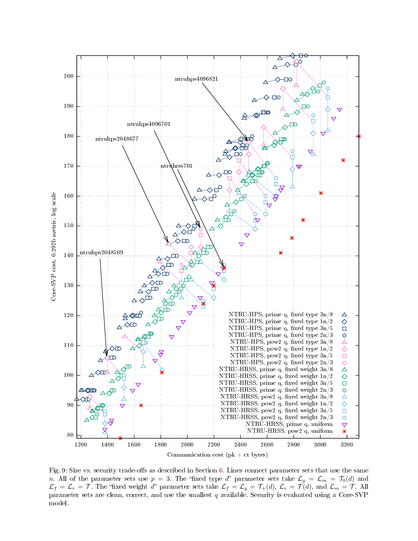<span id="page-11-0"></span>

Fig. 9: Size vs. security trade-offs as described in Section [6.](#page-8-0) Lines connect parameter sets that use the same n. All of the parameter sets use  $p\,=\,3$ . The "fixed type  $d$ " parameter sets take  $\mathcal{L}_g\,=\,\mathcal{L}_m\,=\,\mathcal{T}_0(d)$  and  $\mathcal{L}_f=\mathcal{L}_r=\mathcal{T}$  . The "fixed weight  $d$ " parameter sets take  $\mathcal{L}_f=\mathcal{L}_g=\mathcal{T}_+(d),$   $\mathcal{L}_r=\mathcal{T}(d),$  and  $\mathcal{L}_m=\mathcal{T}$  . All parameter sets are clean, correct, and use the smallest  $q$  available. Security is evaluated using a Core-SVP model.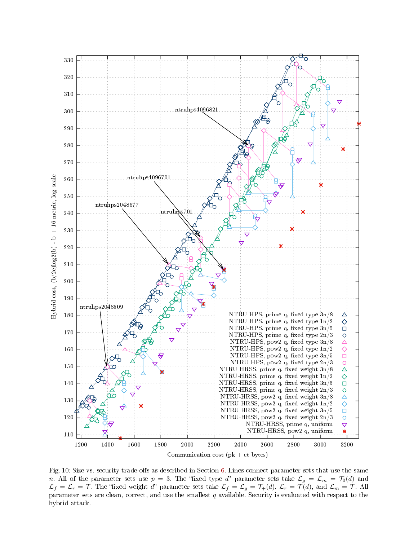<span id="page-12-0"></span>

Fig. 10: Size vs. security trade-offs as described in Section [6.](#page-8-0) Lines connect parameter sets that use the same n. All of the parameter sets use  $p\,=\,3$ . The "fixed type  $d$ " parameter sets take  $\mathcal{L}_g\,=\,\mathcal{L}_m\,=\,\mathcal{T}_0(d)$  and  $\mathcal{L}_f=\mathcal{L}_r=\mathcal{T}$  . The "fixed weight  $d$ " parameter sets take  $\mathcal{L}_f=\mathcal{L}_g=\mathcal{T}_+(d),$   $\mathcal{L}_r=\mathcal{T}(d),$  and  $\mathcal{L}_m=\mathcal{T}$  . All parameter sets are clean, correct, and use the smallest  $q$  available. Security is evaluated with respect to the hybrid attack.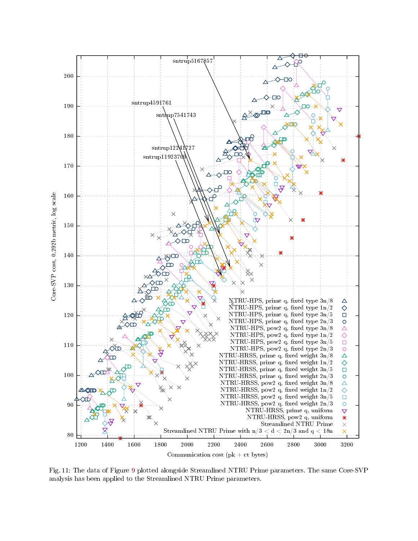<span id="page-13-0"></span>

Fig. 11: The data of Figure [9](#page-11-0) plotted alongside Streamlined NTRU Prime parameters. The same Core-SVP analysis has been applied to the Streamlined NTRU Prime parameters.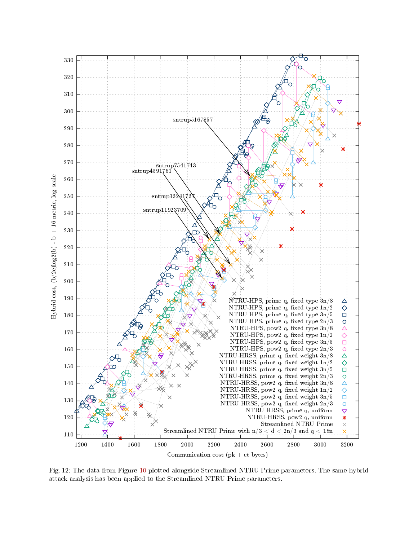<span id="page-14-0"></span>

Fig. 12: The data from Figure [10](#page-12-0) plotted alongside Streamlined NTRU Prime parameters. The same hybrid attack analysis has been applied to the Streamlined NTRU Prime parameters.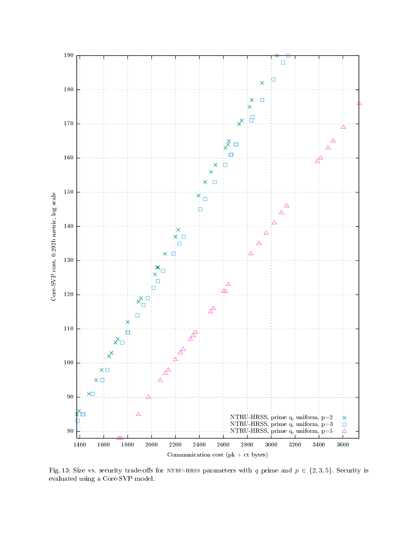<span id="page-15-0"></span>

Fig. 13: Size vs. security trade-offs for NTRU-HRSS parameters with q prime and  $p \in \{2, 3, 5\}$ . Security is evaluated using a Core-SVP model.